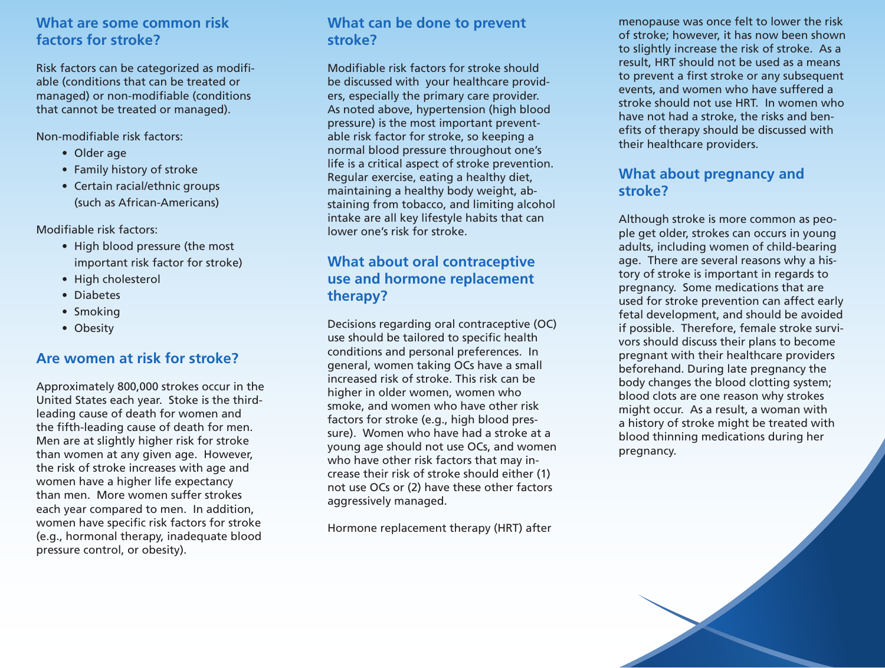## **What are some common risk factors for stroke?**

Risk factors can be categorized as modifiable (conditions that can be treated or managed) or non-modifiable (conditions that cannot be treated or managed).

Non-modifiable risk factors:

- Older age
- Family history of stroke
- Certain racial/ethnic groups (such as African-Americans)

Modifiable risk factors:

- High blood pressure (the most important risk factor for stroke)
- High cholesterol
- • Diabetes
- Smoking
- Obesity

#### **Are women at risk for stroke?**

Approximately 800,000 strokes occur in the United States each year. Stoke is the thirdleading cause of death for women and the fifth-leading cause of death for men. Men are at slightly higher risk for stroke than women at any given age. However, the risk of stroke increases with age and women have a higher life expectancy than men. More women suffer strokes each year compared to men. In addition, women have specific risk factors for stroke (e.g., hormonal therapy, inadequate blood pressure control, or obesity).

### **What can be done to prevent stroke?**

Modifiable risk factors for stroke should be discussed with your healthcare providers, especially the primary care provider. As noted above, hypertension (high blood pressure) is the most important preventable risk factor for stroke, so keeping a normal blood pressure throughout one's life is a critical aspect of stroke prevention. Regular exercise, eating a healthy diet, maintaining a healthy body weight, abstaining from tobacco, and limiting alcohol intake are all key lifestyle habits that can lower one's risk for stroke.

## **What about oral contraceptive use and hormone replacement therapy?**

Decisions regarding oral contraceptive (OC) use should be tailored to specific health conditions and personal preferences. In general, women taking OCs have a small increased risk of stroke. This risk can be higher in older women, women who smoke, and women who have other risk factors for stroke (e.g., high blood pressure). Women who have had a stroke at a young age should not use OCs, and women who have other risk factors that may increase their risk of stroke should either (1) not use OCs or (2) have these other factors aggressively managed.

Hormone replacement therapy (HRT) after

menopause was once felt to lower the risk of stroke; however, it has now been shown to slightly increase the risk of stroke. As a result, HRT should not be used as a means to prevent a first stroke or any subsequent events, and women who have suffered a stroke should not use HRT. In women who have not had a stroke, the risks and benefits of therapy should be discussed with their healthcare providers.

#### **What about pregnancy and stroke?**

Although stroke is more common as people get older, strokes can occurs in young adults, including women of child-bearing age. There are several reasons why a history of stroke is important in regards to pregnancy. Some medications that are used for stroke prevention can affect early fetal development, and should be avoided if possible. Therefore, female stroke survivors should discuss their plans to become pregnant with their healthcare providers beforehand. During late pregnancy the body changes the blood clotting system; blood clots are one reason why strokes might occur. As a result, a woman with a history of stroke might be treated with blood thinning medications during her pregnancy.